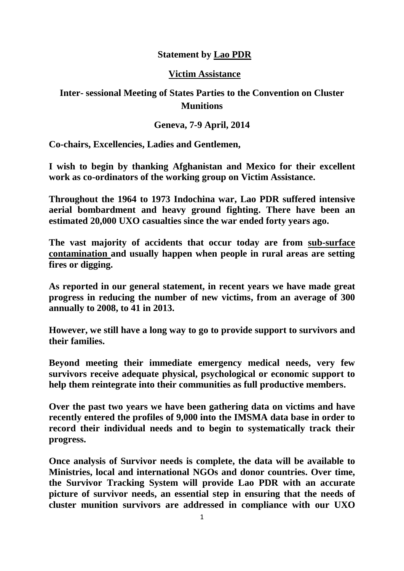## **Statement by Lao PDR**

## **Victim Assistance**

## **Inter- sessional Meeting of States Parties to the Convention on Cluster Munitions**

## **Geneva, 7-9 April, 2014**

**Co-chairs, Excellencies, Ladies and Gentlemen,**

**I wish to begin by thanking Afghanistan and Mexico for their excellent work as co-ordinators of the working group on Victim Assistance.** 

**Throughout the 1964 to 1973 Indochina war, Lao PDR suffered intensive aerial bombardment and heavy ground fighting. There have been an estimated 20,000 UXO casualties since the war ended forty years ago.** 

**The vast majority of accidents that occur today are from sub-surface contamination and usually happen when people in rural areas are setting fires or digging.** 

**As reported in our general statement, in recent years we have made great progress in reducing the number of new victims, from an average of 300 annually to 2008, to 41 in 2013.**

**However, we still have a long way to go to provide support to survivors and their families.**

**Beyond meeting their immediate emergency medical needs, very few survivors receive adequate physical, psychological or economic support to help them reintegrate into their communities as full productive members.** 

**Over the past two years we have been gathering data on victims and have recently entered the profiles of 9,000 into the IMSMA data base in order to record their individual needs and to begin to systematically track their progress.** 

**Once analysis of Survivor needs is complete, the data will be available to Ministries, local and international NGOs and donor countries. Over time, the Survivor Tracking System will provide Lao PDR with an accurate picture of survivor needs, an essential step in ensuring that the needs of cluster munition survivors are addressed in compliance with our UXO**